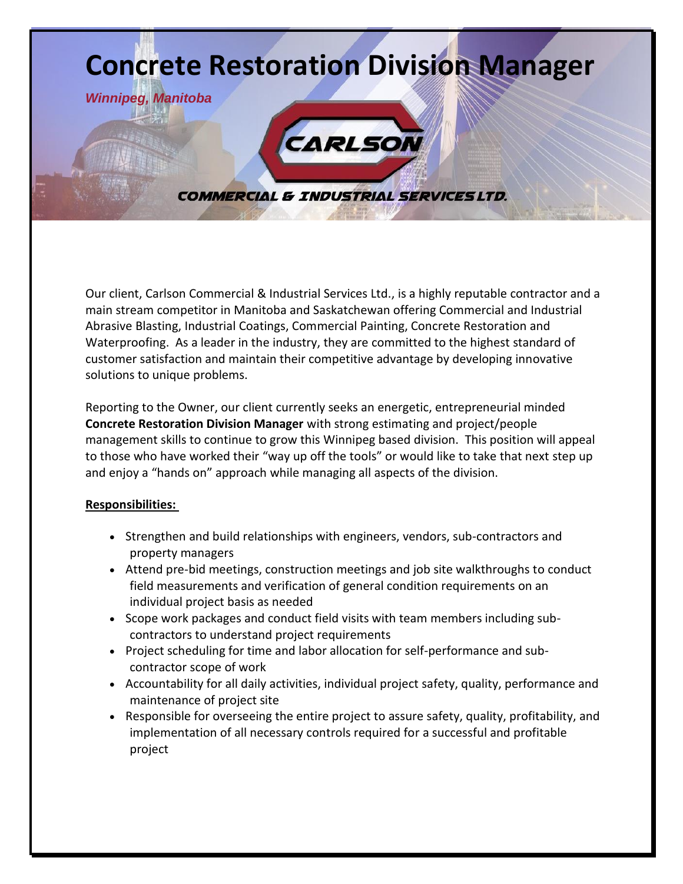

Our client, Carlson Commercial & Industrial Services Ltd., is a highly reputable contractor and a main stream competitor in Manitoba and Saskatchewan offering Commercial and Industrial Abrasive Blasting, Industrial Coatings, Commercial Painting, Concrete Restoration and Waterproofing. As a leader in the industry, they are committed to the highest standard of customer satisfaction and maintain their competitive advantage by developing innovative solutions to unique problems.

Reporting to the Owner, our client currently seeks an energetic, entrepreneurial minded **Concrete Restoration Division Manager** with strong estimating and project/people management skills to continue to grow this Winnipeg based division. This position will appeal to those who have worked their "way up off the tools" or would like to take that next step up and enjoy a "hands on" approach while managing all aspects of the division.

## **Responsibilities:**

- Strengthen and build relationships with engineers, vendors, sub-contractors and property managers
- Attend pre-bid meetings, construction meetings and job site walkthroughs to conduct field measurements and verification of general condition requirements on an individual project basis as needed
- Scope work packages and conduct field visits with team members including subcontractors to understand project requirements
- Project scheduling for time and labor allocation for self-performance and subcontractor scope of work
- Accountability for all daily activities, individual project safety, quality, performance and maintenance of project site
- Responsible for overseeing the entire project to assure safety, quality, profitability, and implementation of all necessary controls required for a successful and profitable project